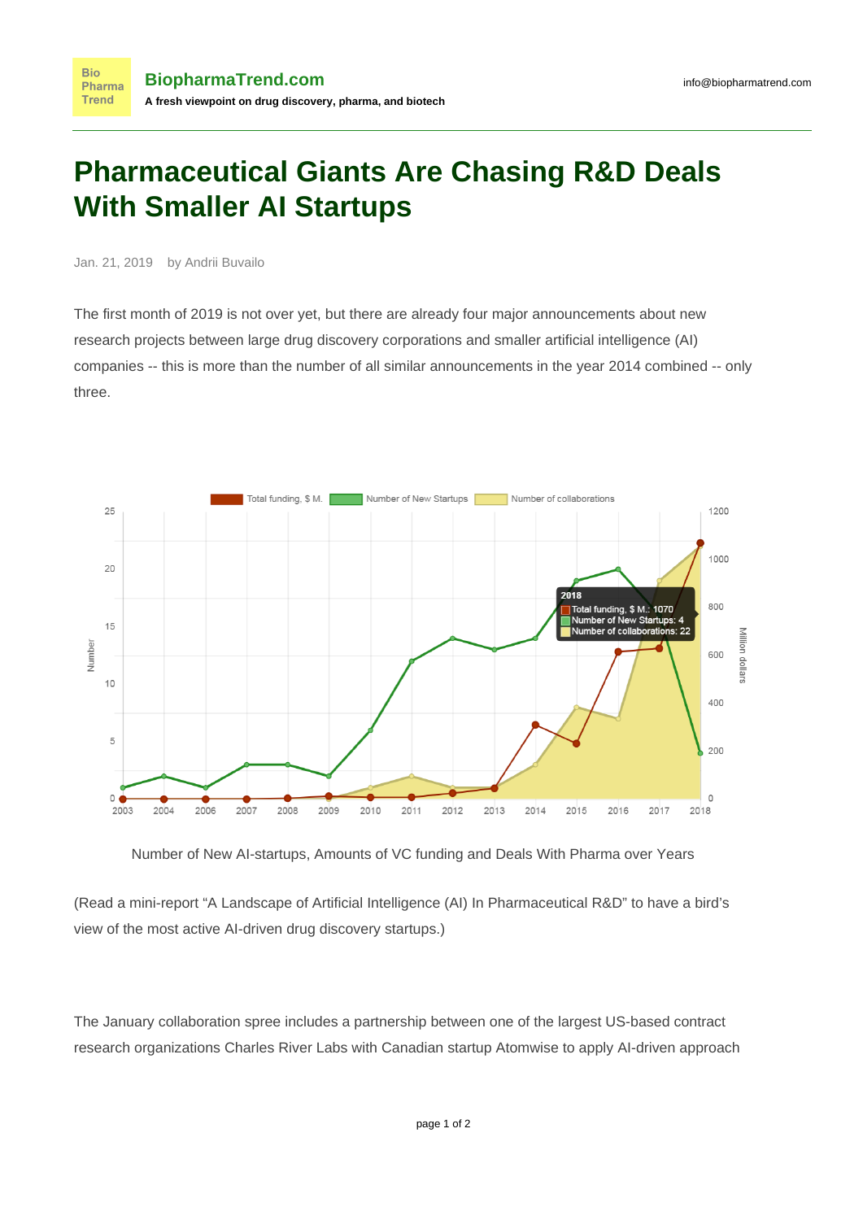## **Pharmaceutical Giants Are Chasing R&D Deals With Smaller AI Startups**

Jan. 21, 2019 by Andrii Buvailo

The first month of 2019 is not over yet, but there are already four major announcements about new research projects between large drug discovery corporations and smaller artificial intelligence (AI) companies -- this is more than the number of all similar announcements in the year 2014 combined -- [only](https://www.biopharmatrend.com/m/charts/) [three.](https://www.biopharmatrend.com/m/charts/)



Number of New AI-startups, Amounts of VC funding and Deals With Pharma over Years

(Read a mini-report ["A Landscape of Artificial Intelligence \(AI\) In Pharmaceutical R&D](https://www.biopharmatrend.com/m/charts/)" to have a bird's view of the most active AI-driven drug discovery startups.)

The January collaboration spree includes a partnership between one of the largest US-based contract research organizations Charles River Labs with Canadian startup Atomwise to apply AI-driven approach